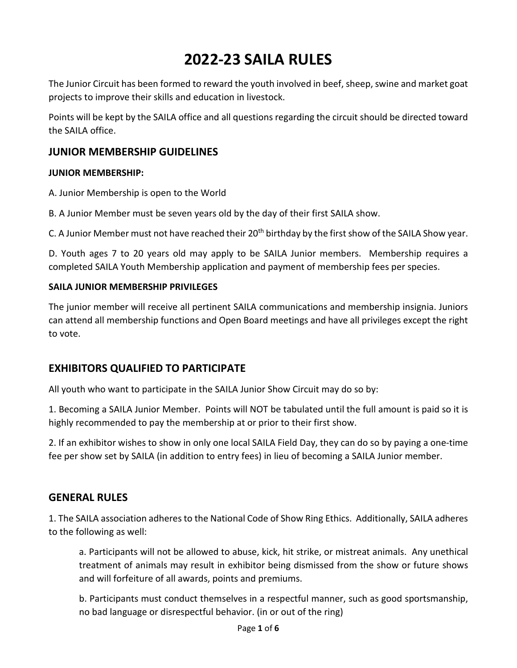# **2022-23 SAILA RULES**

The Junior Circuit has been formed to reward the youth involved in beef, sheep, swine and market goat projects to improve their skills and education in livestock.

Points will be kept by the SAILA office and all questions regarding the circuit should be directed toward the SAILA office.

# **JUNIOR MEMBERSHIP GUIDELINES**

### **JUNIOR MEMBERSHIP:**

- A. Junior Membership is open to the World
- B. A Junior Member must be seven years old by the day of their first SAILA show.

C. A Junior Member must not have reached their 20<sup>th</sup> birthday by the first show of the SAILA Show year.

D. Youth ages 7 to 20 years old may apply to be SAILA Junior members. Membership requires a completed SAILA Youth Membership application and payment of membership fees per species.

## **SAILA JUNIOR MEMBERSHIP PRIVILEGES**

The junior member will receive all pertinent SAILA communications and membership insignia. Juniors can attend all membership functions and Open Board meetings and have all privileges except the right to vote.

# **EXHIBITORS QUALIFIED TO PARTICIPATE**

All youth who want to participate in the SAILA Junior Show Circuit may do so by:

1. Becoming a SAILA Junior Member. Points will NOT be tabulated until the full amount is paid so it is highly recommended to pay the membership at or prior to their first show.

2. If an exhibitor wishes to show in only one local SAILA Field Day, they can do so by paying a one-time fee per show set by SAILA (in addition to entry fees) in lieu of becoming a SAILA Junior member.

# **GENERAL RULES**

1. The SAILA association adheres to the National Code of Show Ring Ethics. Additionally, SAILA adheres to the following as well:

a. Participants will not be allowed to abuse, kick, hit strike, or mistreat animals. Any unethical treatment of animals may result in exhibitor being dismissed from the show or future shows and will forfeiture of all awards, points and premiums.

b. Participants must conduct themselves in a respectful manner, such as good sportsmanship, no bad language or disrespectful behavior. (in or out of the ring)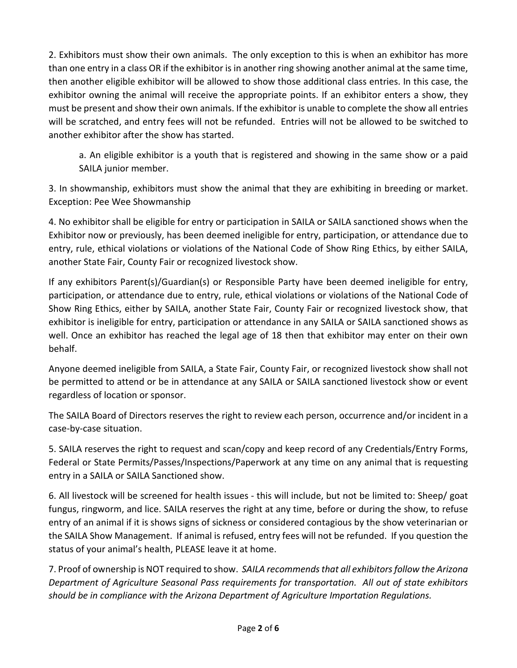2. Exhibitors must show their own animals. The only exception to this is when an exhibitor has more than one entry in a class OR if the exhibitor is in another ring showing another animal at the same time, then another eligible exhibitor will be allowed to show those additional class entries. In this case, the exhibitor owning the animal will receive the appropriate points. If an exhibitor enters a show, they must be present and show their own animals. If the exhibitor is unable to complete the show all entries will be scratched, and entry fees will not be refunded. Entries will not be allowed to be switched to another exhibitor after the show has started.

a. An eligible exhibitor is a youth that is registered and showing in the same show or a paid SAILA junior member.

3. In showmanship, exhibitors must show the animal that they are exhibiting in breeding or market. Exception: Pee Wee Showmanship

4. No exhibitor shall be eligible for entry or participation in SAILA or SAILA sanctioned shows when the Exhibitor now or previously, has been deemed ineligible for entry, participation, or attendance due to entry, rule, ethical violations or violations of the National Code of Show Ring Ethics, by either SAILA, another State Fair, County Fair or recognized livestock show.

If any exhibitors Parent(s)/Guardian(s) or Responsible Party have been deemed ineligible for entry, participation, or attendance due to entry, rule, ethical violations or violations of the National Code of Show Ring Ethics, either by SAILA, another State Fair, County Fair or recognized livestock show, that exhibitor is ineligible for entry, participation or attendance in any SAILA or SAILA sanctioned shows as well. Once an exhibitor has reached the legal age of 18 then that exhibitor may enter on their own behalf.

Anyone deemed ineligible from SAILA, a State Fair, County Fair, or recognized livestock show shall not be permitted to attend or be in attendance at any SAILA or SAILA sanctioned livestock show or event regardless of location or sponsor.

The SAILA Board of Directors reserves the right to review each person, occurrence and/or incident in a case-by-case situation.

5. SAILA reserves the right to request and scan/copy and keep record of any Credentials/Entry Forms, Federal or State Permits/Passes/Inspections/Paperwork at any time on any animal that is requesting entry in a SAILA or SAILA Sanctioned show.

6. All livestock will be screened for health issues - this will include, but not be limited to: Sheep/ goat fungus, ringworm, and lice. SAILA reserves the right at any time, before or during the show, to refuse entry of an animal if it is shows signs of sickness or considered contagious by the show veterinarian or the SAILA Show Management. If animal is refused, entry fees will not be refunded. If you question the status of your animal's health, PLEASE leave it at home.

7. Proof of ownership is NOT required to show. *SAILA recommends that all exhibitors follow the Arizona Department of Agriculture Seasonal Pass requirements for transportation. All out of state exhibitors should be in compliance with the Arizona Department of Agriculture Importation Regulations.*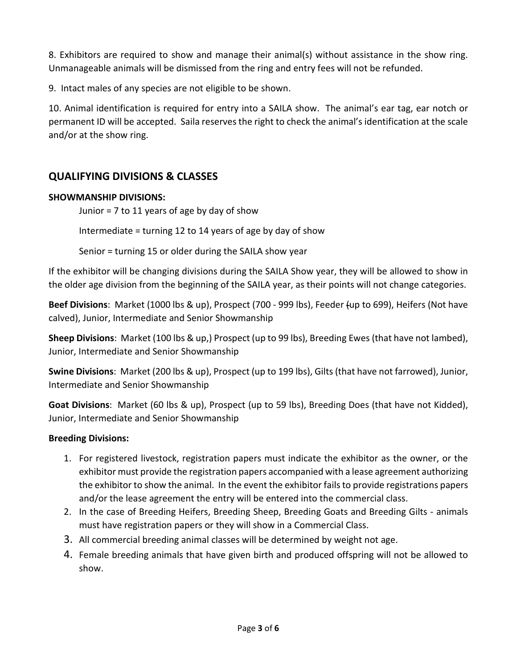8. Exhibitors are required to show and manage their animal(s) without assistance in the show ring. Unmanageable animals will be dismissed from the ring and entry fees will not be refunded.

9. Intact males of any species are not eligible to be shown.

10. Animal identification is required for entry into a SAILA show. The animal's ear tag, ear notch or permanent ID will be accepted. Saila reserves the right to check the animal's identification at the scale and/or at the show ring.

# **QUALIFYING DIVISIONS & CLASSES**

# **SHOWMANSHIP DIVISIONS:**

Junior = 7 to 11 years of age by day of show

Intermediate = turning 12 to 14 years of age by day of show

Senior = turning 15 or older during the SAILA show year

If the exhibitor will be changing divisions during the SAILA Show year, they will be allowed to show in the older age division from the beginning of the SAILA year, as their points will not change categories.

**Beef Divisions**: Market (1000 lbs & up), Prospect (700 - 999 lbs), Feeder (up to 699), Heifers (Not have calved), Junior, Intermediate and Senior Showmanship

**Sheep Divisions**: Market (100 lbs & up,) Prospect (up to 99 lbs), Breeding Ewes (that have not lambed), Junior, Intermediate and Senior Showmanship

**Swine Divisions**: Market (200 lbs & up), Prospect (up to 199 lbs), Gilts (that have not farrowed), Junior, Intermediate and Senior Showmanship

**Goat Divisions**: Market (60 lbs & up), Prospect (up to 59 lbs), Breeding Does (that have not Kidded), Junior, Intermediate and Senior Showmanship

### **Breeding Divisions:**

- 1. For registered livestock, registration papers must indicate the exhibitor as the owner, or the exhibitor must provide the registration papers accompanied with a lease agreement authorizing the exhibitor to show the animal. In the event the exhibitor fails to provide registrations papers and/or the lease agreement the entry will be entered into the commercial class.
- 2. In the case of Breeding Heifers, Breeding Sheep, Breeding Goats and Breeding Gilts animals must have registration papers or they will show in a Commercial Class.
- 3. All commercial breeding animal classes will be determined by weight not age.
- 4. Female breeding animals that have given birth and produced offspring will not be allowed to show.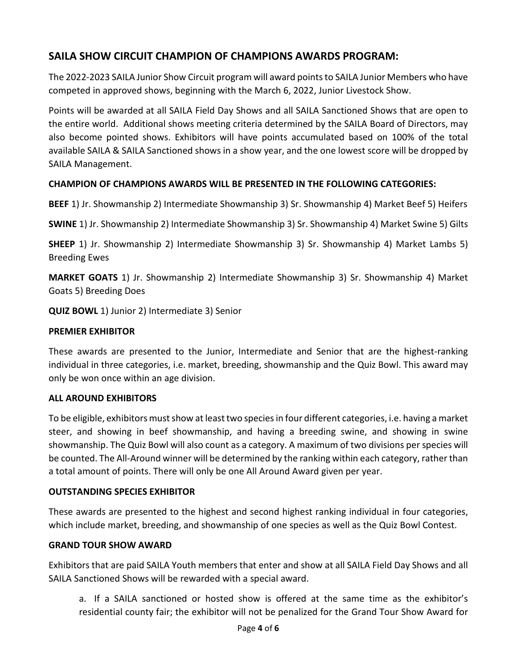# **SAILA SHOW CIRCUIT CHAMPION OF CHAMPIONS AWARDS PROGRAM:**

The 2022-2023 SAILA Junior Show Circuit program will award points to SAILA Junior Members who have competed in approved shows, beginning with the March 6, 2022, Junior Livestock Show.

Points will be awarded at all SAILA Field Day Shows and all SAILA Sanctioned Shows that are open to the entire world. Additional shows meeting criteria determined by the SAILA Board of Directors, may also become pointed shows. Exhibitors will have points accumulated based on 100% of the total available SAILA & SAILA Sanctioned shows in a show year, and the one lowest score will be dropped by SAILA Management.

## **CHAMPION OF CHAMPIONS AWARDS WILL BE PRESENTED IN THE FOLLOWING CATEGORIES:**

**BEEF** 1) Jr. Showmanship 2) Intermediate Showmanship 3) Sr. Showmanship 4) Market Beef 5) Heifers

**SWINE** 1) Jr. Showmanship 2) Intermediate Showmanship 3) Sr. Showmanship 4) Market Swine 5) Gilts

**SHEEP** 1) Jr. Showmanship 2) Intermediate Showmanship 3) Sr. Showmanship 4) Market Lambs 5) Breeding Ewes

**MARKET GOATS** 1) Jr. Showmanship 2) Intermediate Showmanship 3) Sr. Showmanship 4) Market Goats 5) Breeding Does

**QUIZ BOWL** 1) Junior 2) Intermediate 3) Senior

#### **PREMIER EXHIBITOR**

These awards are presented to the Junior, Intermediate and Senior that are the highest-ranking individual in three categories, i.e. market, breeding, showmanship and the Quiz Bowl. This award may only be won once within an age division.

#### **ALL AROUND EXHIBITORS**

To be eligible, exhibitors must show at least two species in four different categories, i.e. having a market steer, and showing in beef showmanship, and having a breeding swine, and showing in swine showmanship. The Quiz Bowl will also count as a category. A maximum of two divisions per species will be counted. The All-Around winner will be determined by the ranking within each category, rather than a total amount of points. There will only be one All Around Award given per year.

### **OUTSTANDING SPECIES EXHIBITOR**

These awards are presented to the highest and second highest ranking individual in four categories, which include market, breeding, and showmanship of one species as well as the Quiz Bowl Contest.

### **GRAND TOUR SHOW AWARD**

Exhibitors that are paid SAILA Youth members that enter and show at all SAILA Field Day Shows and all SAILA Sanctioned Shows will be rewarded with a special award.

a. If a SAILA sanctioned or hosted show is offered at the same time as the exhibitor's residential county fair; the exhibitor will not be penalized for the Grand Tour Show Award for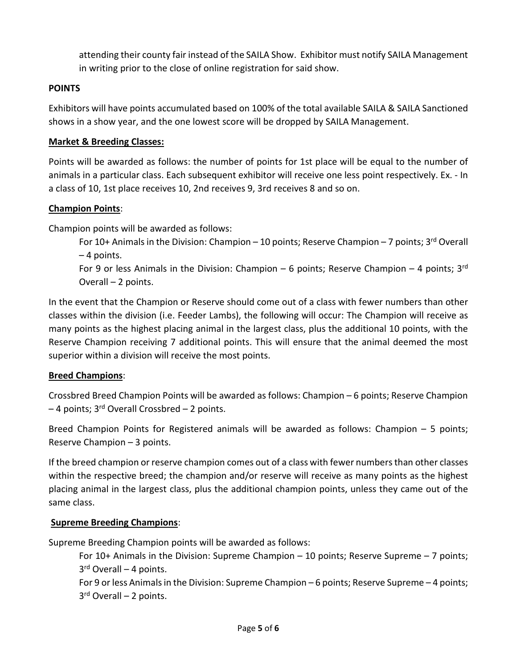attending their county fair instead of the SAILA Show. Exhibitor must notify SAILA Management in writing prior to the close of online registration for said show.

## **POINTS**

Exhibitors will have points accumulated based on 100% of the total available SAILA & SAILA Sanctioned shows in a show year, and the one lowest score will be dropped by SAILA Management.

## **Market & Breeding Classes:**

Points will be awarded as follows: the number of points for 1st place will be equal to the number of animals in a particular class. Each subsequent exhibitor will receive one less point respectively. Ex. - In a class of 10, 1st place receives 10, 2nd receives 9, 3rd receives 8 and so on.

### **Champion Points**:

Champion points will be awarded as follows:

For 10+ Animals in the Division: Champion – 10 points; Reserve Champion – 7 points;  $3^{rd}$  Overall – 4 points.

For 9 or less Animals in the Division: Champion – 6 points; Reserve Champion – 4 points;  $3<sup>rd</sup>$ Overall – 2 points.

In the event that the Champion or Reserve should come out of a class with fewer numbers than other classes within the division (i.e. Feeder Lambs), the following will occur: The Champion will receive as many points as the highest placing animal in the largest class, plus the additional 10 points, with the Reserve Champion receiving 7 additional points. This will ensure that the animal deemed the most superior within a division will receive the most points.

# **Breed Champions**:

Crossbred Breed Champion Points will be awarded as follows: Champion – 6 points; Reserve Champion  $-4$  points; 3<sup>rd</sup> Overall Crossbred  $-2$  points.

Breed Champion Points for Registered animals will be awarded as follows: Champion – 5 points; Reserve Champion – 3 points.

If the breed champion or reserve champion comes out of a class with fewer numbers than other classes within the respective breed; the champion and/or reserve will receive as many points as the highest placing animal in the largest class, plus the additional champion points, unless they came out of the same class.

# **Supreme Breeding Champions**:

Supreme Breeding Champion points will be awarded as follows:

For 10+ Animals in the Division: Supreme Champion – 10 points; Reserve Supreme – 7 points;  $3<sup>rd</sup>$  Overall – 4 points.

For 9 or less Animals in the Division: Supreme Champion – 6 points; Reserve Supreme – 4 points;  $3<sup>rd</sup>$  Overall – 2 points.